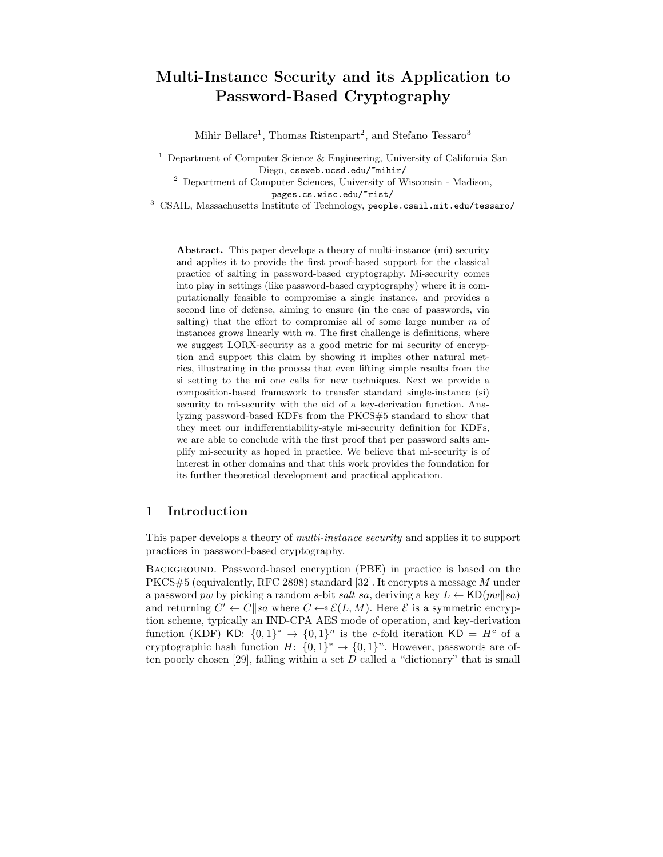# Multi-Instance Security and its Application to Password-Based Cryptography

Mihir Bellare<sup>1</sup>, Thomas Ristenpart<sup>2</sup>, and Stefano Tessaro<sup>3</sup>

<sup>1</sup> Department of Computer Science  $\&$  Engineering, University of California San Diego, cseweb.ucsd.edu/~mihir/

 $^{\rm 2}$  Department of Computer Sciences, University of Wisconsin - Madison,

pages.cs.wisc.edu/~rist/

<sup>3</sup> CSAIL, Massachusetts Institute of Technology, people.csail.mit.edu/tessaro/

Abstract. This paper develops a theory of multi-instance (mi) security and applies it to provide the first proof-based support for the classical practice of salting in password-based cryptography. Mi-security comes into play in settings (like password-based cryptography) where it is computationally feasible to compromise a single instance, and provides a second line of defense, aiming to ensure (in the case of passwords, via salting) that the effort to compromise all of some large number  $m$  of instances grows linearly with  $m$ . The first challenge is definitions, where we suggest LORX-security as a good metric for mi security of encryption and support this claim by showing it implies other natural metrics, illustrating in the process that even lifting simple results from the si setting to the mi one calls for new techniques. Next we provide a composition-based framework to transfer standard single-instance (si) security to mi-security with the aid of a key-derivation function. Analyzing password-based KDFs from the PKCS#5 standard to show that they meet our indifferentiability-style mi-security definition for KDFs, we are able to conclude with the first proof that per password salts amplify mi-security as hoped in practice. We believe that mi-security is of interest in other domains and that this work provides the foundation for its further theoretical development and practical application.

#### 1 Introduction

This paper develops a theory of *multi-instance security* and applies it to support practices in password-based cryptography.

Background. Password-based encryption (PBE) in practice is based on the PKCS#5 (equivalently, RFC 2898) standard [32]. It encrypts a message M under a password pw by picking a random s-bit *salt* sa, deriving a key  $L \leftarrow \text{KD}(pw||sa)$ and returning  $C' \leftarrow C||sa$  where  $C \leftarrow s\mathcal{E}(L, M)$ . Here  $\mathcal E$  is a symmetric encryption scheme, typically an IND-CPA AES mode of operation, and key-derivation function (KDF) KD:  $\{0,1\}^* \rightarrow \{0,1\}^n$  is the c-fold iteration KD =  $H^c$  of a cryptographic hash function  $H: \{0,1\}^* \to \{0,1\}^n$ . However, passwords are often poorly chosen [29], falling within a set  $D$  called a "dictionary" that is small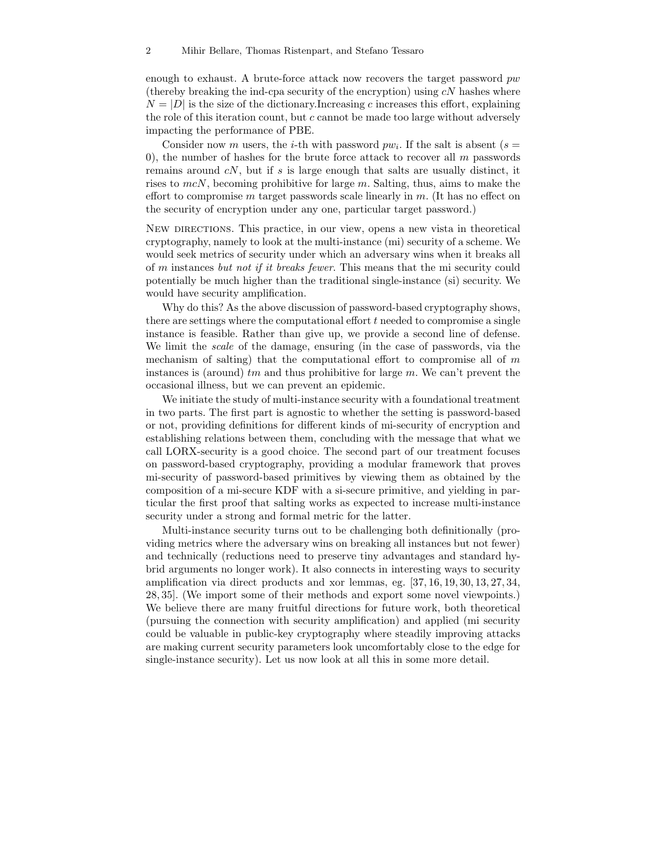enough to exhaust. A brute-force attack now recovers the target password  $pw$ (thereby breaking the ind-cpa security of the encryption) using  $cN$  hashes where  $N = |D|$  is the size of the dictionary. Increasing c increases this effort, explaining the role of this iteration count, but c cannot be made too large without adversely impacting the performance of PBE.

Consider now m users, the *i*-th with password  $pw_i$ . If the salt is absent ( $s =$ 0), the number of hashes for the brute force attack to recover all  $m$  passwords remains around  $cN$ , but if s is large enough that salts are usually distinct, it rises to  $mcN$ , becoming prohibitive for large m. Salting, thus, aims to make the effort to compromise  $m$  target passwords scale linearly in  $m$ . (It has no effect on the security of encryption under any one, particular target password.)

New directions. This practice, in our view, opens a new vista in theoretical cryptography, namely to look at the multi-instance (mi) security of a scheme. We would seek metrics of security under which an adversary wins when it breaks all of m instances *but not if it breaks fewer*. This means that the mi security could potentially be much higher than the traditional single-instance (si) security. We would have security amplification.

Why do this? As the above discussion of password-based cryptography shows, there are settings where the computational effort  $t$  needed to compromise a single instance is feasible. Rather than give up, we provide a second line of defense. We limit the *scale* of the damage, ensuring (in the case of passwords, via the mechanism of salting) that the computational effort to compromise all of  $m$ instances is (around)  $tm$  and thus prohibitive for large  $m$ . We can't prevent the occasional illness, but we can prevent an epidemic.

We initiate the study of multi-instance security with a foundational treatment in two parts. The first part is agnostic to whether the setting is password-based or not, providing definitions for different kinds of mi-security of encryption and establishing relations between them, concluding with the message that what we call LORX-security is a good choice. The second part of our treatment focuses on password-based cryptography, providing a modular framework that proves mi-security of password-based primitives by viewing them as obtained by the composition of a mi-secure KDF with a si-secure primitive, and yielding in particular the first proof that salting works as expected to increase multi-instance security under a strong and formal metric for the latter.

Multi-instance security turns out to be challenging both definitionally (providing metrics where the adversary wins on breaking all instances but not fewer) and technically (reductions need to preserve tiny advantages and standard hybrid arguments no longer work). It also connects in interesting ways to security amplification via direct products and xor lemmas, eg. [37, 16, 19, 30, 13, 27, 34, 28, 35]. (We import some of their methods and export some novel viewpoints.) We believe there are many fruitful directions for future work, both theoretical (pursuing the connection with security amplification) and applied (mi security could be valuable in public-key cryptography where steadily improving attacks are making current security parameters look uncomfortably close to the edge for single-instance security). Let us now look at all this in some more detail.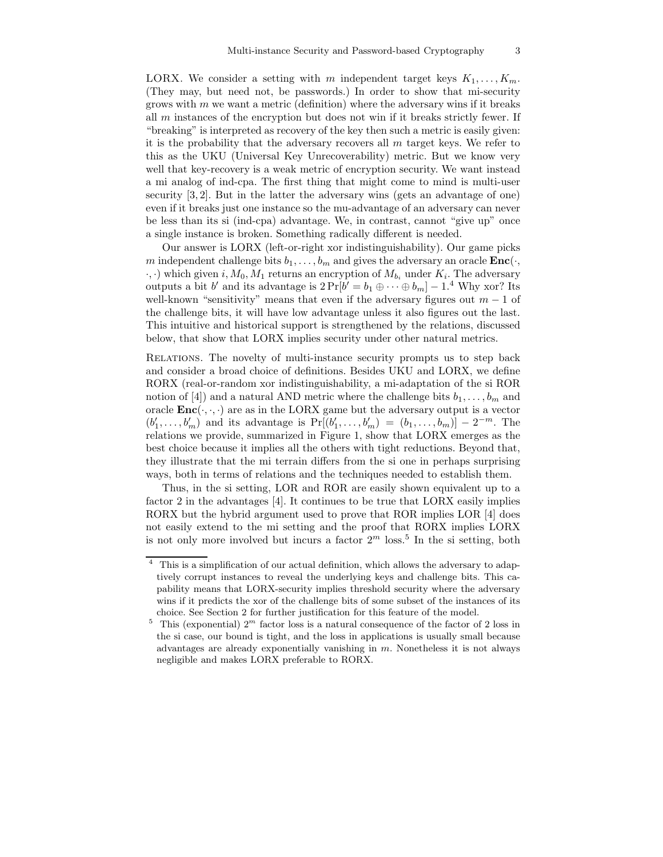LORX. We consider a setting with m independent target keys  $K_1, \ldots, K_m$ . (They may, but need not, be passwords.) In order to show that mi-security grows with  $m$  we want a metric (definition) where the adversary wins if it breaks all  $m$  instances of the encryption but does not win if it breaks strictly fewer. If "breaking" is interpreted as recovery of the key then such a metric is easily given: it is the probability that the adversary recovers all  $m$  target keys. We refer to this as the UKU (Universal Key Unrecoverability) metric. But we know very well that key-recovery is a weak metric of encryption security. We want instead a mi analog of ind-cpa. The first thing that might come to mind is multi-user security [3, 2]. But in the latter the adversary wins (gets an advantage of one) even if it breaks just one instance so the mu-advantage of an adversary can never be less than its si (ind-cpa) advantage. We, in contrast, cannot "give up" once a single instance is broken. Something radically different is needed.

Our answer is LORX (left-or-right xor indistinguishability). Our game picks m independent challenge bits  $b_1, \ldots, b_m$  and gives the adversary an oracle  $\text{Enc}(\cdot,$  $(\cdot, \cdot)$  which given i,  $M_0, M_1$  returns an encryption of  $M_{b_i}$  under  $K_i$ . The adversary outputs a bit b' and its advantage is  $2 \Pr[b' = b_1 \oplus \cdots \oplus b_m] - 1$ .<sup>4</sup> Why xor? Its well-known "sensitivity" means that even if the adversary figures out  $m-1$  of the challenge bits, it will have low advantage unless it also figures out the last. This intuitive and historical support is strengthened by the relations, discussed below, that show that LORX implies security under other natural metrics.

Relations. The novelty of multi-instance security prompts us to step back and consider a broad choice of definitions. Besides UKU and LORX, we define RORX (real-or-random xor indistinguishability, a mi-adaptation of the si ROR notion of [4]) and a natural AND metric where the challenge bits  $b_1, \ldots, b_m$  and oracle  $\text{Enc}(\cdot, \cdot, \cdot)$  are as in the LORX game but the adversary output is a vector  $(b'_1, ..., b'_m)$  and its advantage is  $Pr[(b'_1, ..., b'_m) = (b_1, ..., b_m)] - 2^{-m}$ . The relations we provide, summarized in Figure 1, show that LORX emerges as the best choice because it implies all the others with tight reductions. Beyond that, they illustrate that the mi terrain differs from the si one in perhaps surprising ways, both in terms of relations and the techniques needed to establish them.

Thus, in the si setting, LOR and ROR are easily shown equivalent up to a factor 2 in the advantages [4]. It continues to be true that LORX easily implies RORX but the hybrid argument used to prove that ROR implies LOR [4] does not easily extend to the mi setting and the proof that RORX implies LORX is not only more involved but incurs a factor  $2^m$  loss.<sup>5</sup> In the si setting, both

<sup>4</sup> This is a simplification of our actual definition, which allows the adversary to adaptively corrupt instances to reveal the underlying keys and challenge bits. This capability means that LORX-security implies threshold security where the adversary wins if it predicts the xor of the challenge bits of some subset of the instances of its choice. See Section 2 for further justification for this feature of the model.

<sup>&</sup>lt;sup>5</sup> This (exponential)  $2^m$  factor loss is a natural consequence of the factor of 2 loss in the si case, our bound is tight, and the loss in applications is usually small because advantages are already exponentially vanishing in  $m$ . Nonetheless it is not always negligible and makes LORX preferable to RORX.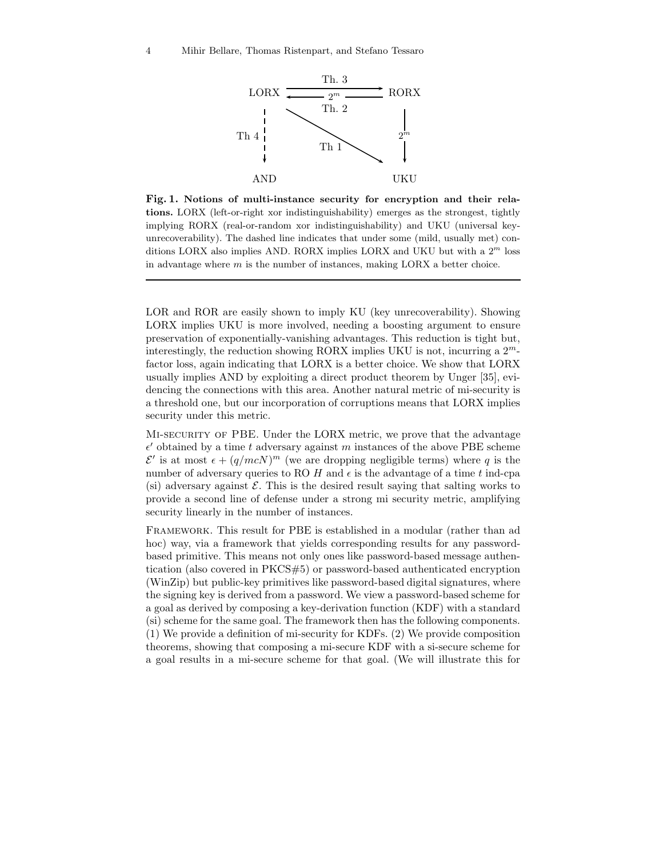

Fig. 1. Notions of multi-instance security for encryption and their relations. LORX (left-or-right xor indistinguishability) emerges as the strongest, tightly implying RORX (real-or-random xor indistinguishability) and UKU (universal keyunrecoverability). The dashed line indicates that under some (mild, usually met) conditions LORX also implies AND. RORX implies LORX and UKU but with a  $2<sup>m</sup>$  loss in advantage where  $m$  is the number of instances, making LORX a better choice.

LOR and ROR are easily shown to imply KU (key unrecoverability). Showing LORX implies UKU is more involved, needing a boosting argument to ensure preservation of exponentially-vanishing advantages. This reduction is tight but, interestingly, the reduction showing RORX implies UKU is not, incurring a  $2^m$ factor loss, again indicating that LORX is a better choice. We show that LORX usually implies AND by exploiting a direct product theorem by Unger [35], evidencing the connections with this area. Another natural metric of mi-security is a threshold one, but our incorporation of corruptions means that LORX implies security under this metric.

Mi-security of PBE. Under the LORX metric, we prove that the advantage  $\epsilon'$  obtained by a time t adversary against m instances of the above PBE scheme  $\mathcal{E}'$  is at most  $\epsilon + (q/mcN)^m$  (we are dropping negligible terms) where q is the number of adversary queries to RO H and  $\epsilon$  is the advantage of a time t ind-cpa (si) adversary against  $\mathcal E$ . This is the desired result saying that salting works to provide a second line of defense under a strong mi security metric, amplifying security linearly in the number of instances.

Framework. This result for PBE is established in a modular (rather than ad hoc) way, via a framework that yields corresponding results for any passwordbased primitive. This means not only ones like password-based message authentication (also covered in PKCS#5) or password-based authenticated encryption (WinZip) but public-key primitives like password-based digital signatures, where the signing key is derived from a password. We view a password-based scheme for a goal as derived by composing a key-derivation function (KDF) with a standard (si) scheme for the same goal. The framework then has the following components. (1) We provide a definition of mi-security for KDFs. (2) We provide composition theorems, showing that composing a mi-secure KDF with a si-secure scheme for a goal results in a mi-secure scheme for that goal. (We will illustrate this for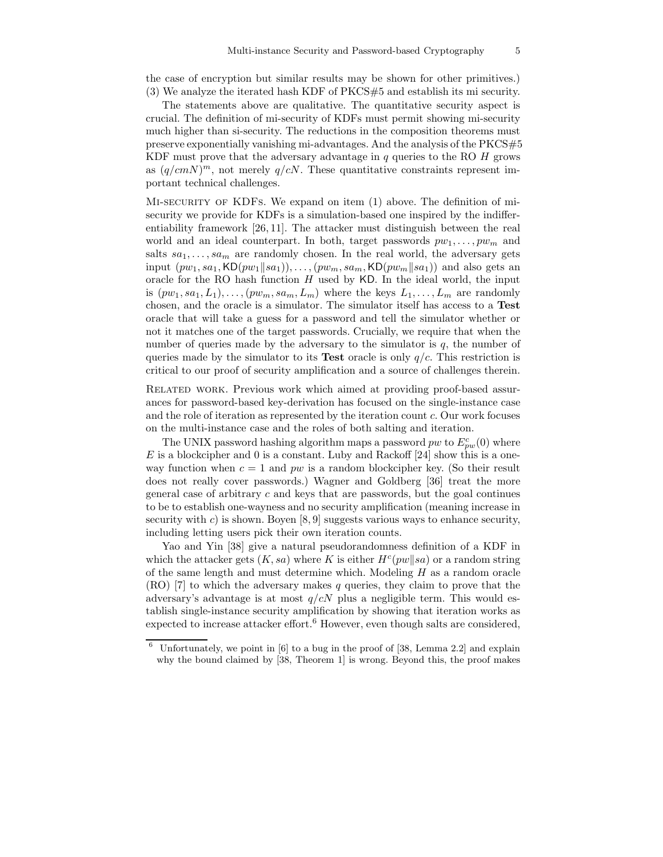the case of encryption but similar results may be shown for other primitives.) (3) We analyze the iterated hash KDF of PKCS#5 and establish its mi security.

The statements above are qualitative. The quantitative security aspect is crucial. The definition of mi-security of KDFs must permit showing mi-security much higher than si-security. The reductions in the composition theorems must preserve exponentially vanishing mi-advantages. And the analysis of the PKCS#5 KDF must prove that the adversary advantage in  $q$  queries to the RO  $H$  grows as  $(q/cmN)^m$ , not merely  $q/cN$ . These quantitative constraints represent important technical challenges.

MI-SECURITY OF KDFS. We expand on item (1) above. The definition of misecurity we provide for KDFs is a simulation-based one inspired by the indifferentiability framework [26, 11]. The attacker must distinguish between the real world and an ideal counterpart. In both, target passwords  $pw_1, \ldots, pw_m$  and salts  $sa_1, \ldots, sa_m$  are randomly chosen. In the real world, the adversary gets input  $(pw_1, sa_1, \text{KD}(pw_1||sa_1)), \ldots, (pw_m, sa_m, \text{KD}(pw_m||sa_1))$  and also gets an oracle for the RO hash function  $H$  used by KD. In the ideal world, the input is  $(pw_1, sa_1, L_1), \ldots, (pw_m, sa_m, L_m)$  where the keys  $L_1, \ldots, L_m$  are randomly chosen, and the oracle is a simulator. The simulator itself has access to a Test oracle that will take a guess for a password and tell the simulator whether or not it matches one of the target passwords. Crucially, we require that when the number of queries made by the adversary to the simulator is  $q$ , the number of queries made by the simulator to its **Test** oracle is only  $q/c$ . This restriction is critical to our proof of security amplification and a source of challenges therein.

Related work. Previous work which aimed at providing proof-based assurances for password-based key-derivation has focused on the single-instance case and the role of iteration as represented by the iteration count c. Our work focuses on the multi-instance case and the roles of both salting and iteration.

The UNIX password hashing algorithm maps a password  $pw$  to  $E_{pw}^c(0)$  where  $E$  is a blockcipher and 0 is a constant. Luby and Rackoff [24] show this is a oneway function when  $c = 1$  and pw is a random blockcipher key. (So their result does not really cover passwords.) Wagner and Goldberg [36] treat the more general case of arbitrary  $c$  and keys that are passwords, but the goal continues to be to establish one-wayness and no security amplification (meaning increase in security with  $c$ ) is shown. Boyen [8,9] suggests various ways to enhance security, including letting users pick their own iteration counts.

Yao and Yin [38] give a natural pseudorandomness definition of a KDF in which the attacker gets  $(K, sa)$  where K is either  $H<sup>c</sup>(pw||sa)$  or a random string of the same length and must determine which. Modeling  $H$  as a random oracle  $(RO)$  [7] to which the adversary makes q queries, they claim to prove that the adversary's advantage is at most  $q/cN$  plus a negligible term. This would establish single-instance security amplification by showing that iteration works as expected to increase attacker effort.<sup>6</sup> However, even though salts are considered,

Unfortunately, we point in  $[6]$  to a bug in the proof of  $[38,$  Lemma 2.2] and explain why the bound claimed by [38, Theorem 1] is wrong. Beyond this, the proof makes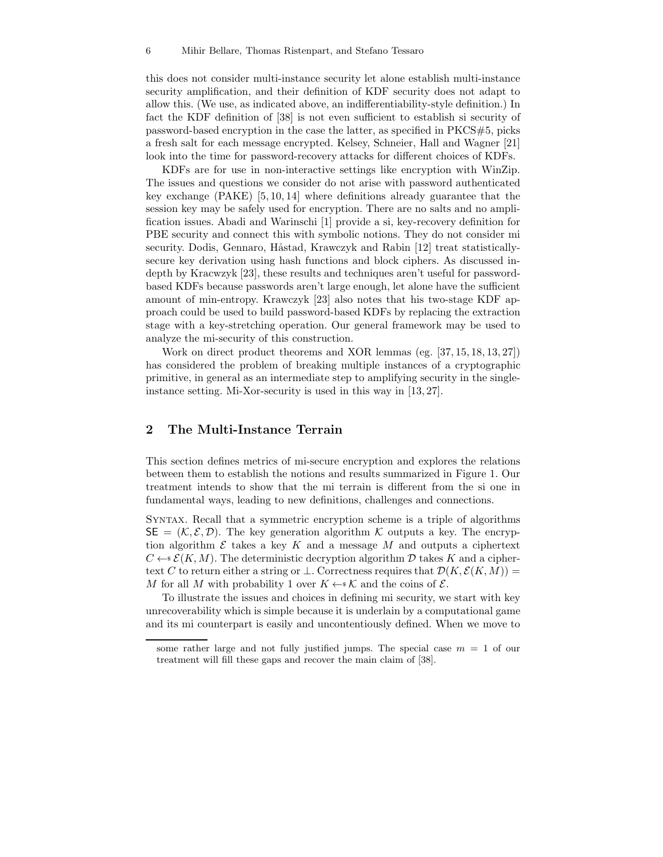this does not consider multi-instance security let alone establish multi-instance security amplification, and their definition of KDF security does not adapt to allow this. (We use, as indicated above, an indifferentiability-style definition.) In fact the KDF definition of [38] is not even sufficient to establish si security of password-based encryption in the case the latter, as specified in PKCS#5, picks a fresh salt for each message encrypted. Kelsey, Schneier, Hall and Wagner [21] look into the time for password-recovery attacks for different choices of KDFs.

KDFs are for use in non-interactive settings like encryption with WinZip. The issues and questions we consider do not arise with password authenticated key exchange (PAKE) [5, 10, 14] where definitions already guarantee that the session key may be safely used for encryption. There are no salts and no amplification issues. Abadi and Warinschi [1] provide a si, key-recovery definition for PBE security and connect this with symbolic notions. They do not consider mi security. Dodis, Gennaro, Håstad, Krawczyk and Rabin [12] treat statisticallysecure key derivation using hash functions and block ciphers. As discussed indepth by Kracwzyk [23], these results and techniques aren't useful for passwordbased KDFs because passwords aren't large enough, let alone have the sufficient amount of min-entropy. Krawczyk [23] also notes that his two-stage KDF approach could be used to build password-based KDFs by replacing the extraction stage with a key-stretching operation. Our general framework may be used to analyze the mi-security of this construction.

Work on direct product theorems and XOR lemmas (eg. [37, 15, 18, 13, 27]) has considered the problem of breaking multiple instances of a cryptographic primitive, in general as an intermediate step to amplifying security in the singleinstance setting. Mi-Xor-security is used in this way in [13, 27].

### 2 The Multi-Instance Terrain

This section defines metrics of mi-secure encryption and explores the relations between them to establish the notions and results summarized in Figure 1. Our treatment intends to show that the mi terrain is different from the si one in fundamental ways, leading to new definitions, challenges and connections.

Syntax. Recall that a symmetric encryption scheme is a triple of algorithms  $\mathsf{SE} = (\mathcal{K}, \mathcal{E}, \mathcal{D})$ . The key generation algorithm  $\mathcal{K}$  outputs a key. The encryption algorithm  $\mathcal E$  takes a key K and a message M and outputs a ciphertext  $C \leftarrow \mathcal{E}(K, M)$ . The deterministic decryption algorithm D takes K and a ciphertext C to return either a string or  $\bot$ . Correctness requires that  $\mathcal{D}(K,\mathcal{E}(K,M))=$ M for all M with probability 1 over  $K \leftarrow \kappa \mathcal{K}$  and the coins of  $\mathcal{E}$ .

To illustrate the issues and choices in defining mi security, we start with key unrecoverability which is simple because it is underlain by a computational game and its mi counterpart is easily and uncontentiously defined. When we move to

some rather large and not fully justified jumps. The special case  $m = 1$  of our treatment will fill these gaps and recover the main claim of [38].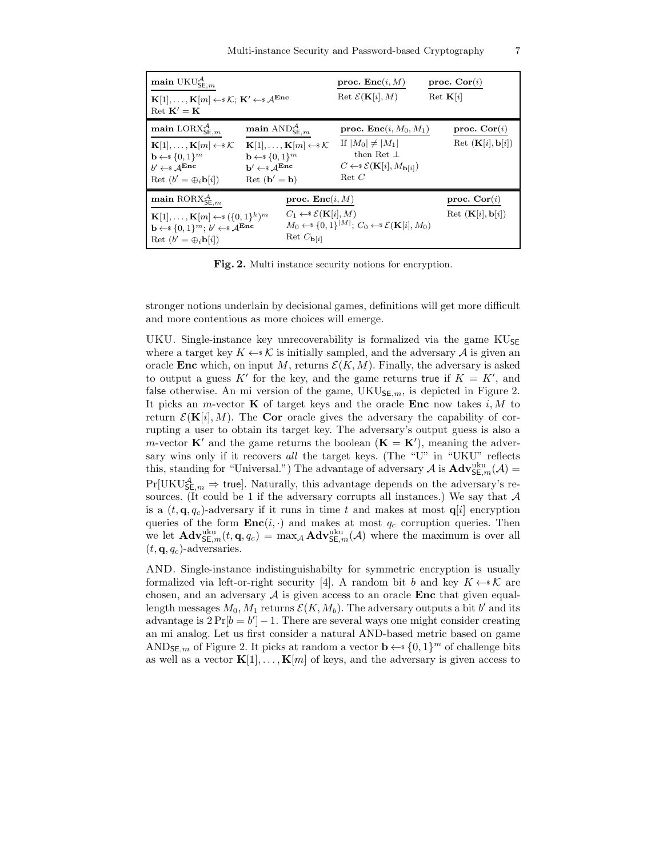| main $\mathrm{UKU}_{\mathsf{SE},m}^{\mathcal{A}}$<br>$\mathbf{K}[1], \ldots, \mathbf{K}[m] \leftarrow \$ \mathcal{K}; \; \mathbf{K}' \leftarrow \ $\mathcal{A}^{\mathbf{Enc}}$<br>Ret $\mathbf{K}' = \mathbf{K}$                                                                                                           |                                                                                                                                                                                                                                                                                              | proc. $\text{Enc}(i, M)$<br>Ret $\mathcal{E}(\mathbf{K}[i], M)$                                                                                                        | proc. $Cor(i)$<br>Ret $\mathbf{K}[i]$                          |
|----------------------------------------------------------------------------------------------------------------------------------------------------------------------------------------------------------------------------------------------------------------------------------------------------------------------------|----------------------------------------------------------------------------------------------------------------------------------------------------------------------------------------------------------------------------------------------------------------------------------------------|------------------------------------------------------------------------------------------------------------------------------------------------------------------------|----------------------------------------------------------------|
| main $\text{LORX}_{\mathsf{SE},m}^{\mathcal{A}}$<br>$\mathbf{K}[1], \ldots, \mathbf{K}[m] \leftarrow \infty \mathcal{K}$<br>$\mathbf{b} \leftarrow \{0,1\}^m$<br>$h' \leftarrow s A^{Enc}$<br>Ret $(b' = \bigoplus_i b[i])$                                                                                                | main $\mathrm{AND}^{\mathcal{A}}_{{\mathsf{SE}},m}$<br>$\mathbf{K}[1], \ldots, \mathbf{K}[m] \leftarrow \mathbf{K}$<br>$\mathbf{b} \leftarrow \{0,1\}^m$<br>$\mathbf{b}' \leftarrow\!\! \mathbb{\scriptstyle\$} \mathcal{A}^{\mathbf{Enc}}$<br>$\mathrm{Ret}$ ( $\mathbf{b}' = \mathbf{b}$ ) | proc. $\text{Enc}(i, M_0, M_1)$<br>If $ M_0  \neq  M_1 $<br>then Ret $\perp$<br>$C \leftarrow \mathcal{E}(\mathbf{K}[i], M_{\mathbf{b}[i]})$<br>$\operatorname{Ret} C$ | proc. $Cor(i)$<br>Ret $(K[i], b[i])$                           |
| main $\mathrm{RORX}_{\mathsf{SE},m}^{\mathcal{A}}$<br>proc. $\text{Enc}(i, M)$<br>$C_1 \leftarrow \mathcal{E}(\mathbf{K}[i], M)$<br>${\bf K}[1], \ldots, {\bf K}[m] \leftarrow \{0,1\}^k\}^m$<br>$\mathbf{b} \leftarrow \{0,1\}^m$ ; $b' \leftarrow \{0,1\}^m$<br>Ret $C_{\mathbf{b}[i]}$<br>Ret $(b' = \bigoplus_i b[i])$ |                                                                                                                                                                                                                                                                                              | $M_0 \leftarrow \{0,1\}^{ M }; C_0 \leftarrow \{\mathcal{E}(\mathbf{K}[i], M_0)\}$                                                                                     | proc. $Cor(i)$<br>$\text{Ret } (\mathbf{K}[i], \mathbf{b}[i])$ |

Fig. 2. Multi instance security notions for encryption.

stronger notions underlain by decisional games, definitions will get more difficult and more contentious as more choices will emerge.

UKU. Single-instance key unrecoverability is formalized via the game  $KU_{\text{SE}}$ where a target key  $K \leftarrow \mathcal{K}$  is initially sampled, and the adversary A is given an oracle **Enc** which, on input M, returns  $\mathcal{E}(K, M)$ . Finally, the adversary is asked to output a guess K' for the key, and the game returns true if  $K = K'$ , and false otherwise. An mi version of the game,  $UKU_{SE,m}$ , is depicted in Figure 2. It picks an *m*-vector **K** of target keys and the oracle **Enc** now takes i, M to return  $\mathcal{E}(\mathbf{K}[i], M)$ . The Cor oracle gives the adversary the capability of corrupting a user to obtain its target key. The adversary's output guess is also a m-vector  $\mathbf{K}'$  and the game returns the boolean  $(\mathbf{K} = \mathbf{K}')$ , meaning the adversary wins only if it recovers *all* the target keys. (The "U" in "UKU" reflects this, standing for "Universal.") The advantage of adversary  $A$  is  $\mathbf{Adv}_{\mathsf{SE},m}^{\text{uku}}(\mathcal{A})$  =  $Pr[\mathrm{UKU}_{\mathsf{SE}, m}^{\mathcal{A}} \Rightarrow$  true]. Naturally, this advantage depends on the adversary's resources. (It could be 1 if the adversary corrupts all instances.) We say that  $A$ is a  $(t, \mathbf{q}, q_c)$ -adversary if it runs in time t and makes at most  $\mathbf{q}[i]$  encryption queries of the form  $\text{Enc}(i, \cdot)$  and makes at most  $q_c$  corruption queries. Then we let  $\mathbf{Adv}_{\mathsf{SE},m}^{\text{uku}}(t, \mathbf{q}, q_c) = \max_{\mathcal{A}} \mathbf{Adv}_{\mathsf{SE},m}^{\text{uku}}(\mathcal{A})$  where the maximum is over all  $(t, \mathbf{q}, q_c)$ -adversaries.

AND. Single-instance indistinguishabilty for symmetric encryption is usually formalized via left-or-right security [4]. A random bit b and key  $K \leftarrow \mathcal{K}$  are chosen, and an adversary  $A$  is given access to an oracle Enc that given equallength messages  $M_0, M_1$  returns  $\mathcal{E}(K, M_b)$ . The adversary outputs a bit  $b'$  and its advantage is  $2 \Pr[b = b'] - 1$ . There are several ways one might consider creating an mi analog. Let us first consider a natural AND-based metric based on game AND<sub>SE,m</sub> of Figure 2. It picks at random a vector  $\mathbf{b} \leftarrow s \{0, 1\}^m$  of challenge bits as well as a vector  $\mathbf{K}[1], \ldots, \mathbf{K}[m]$  of keys, and the adversary is given access to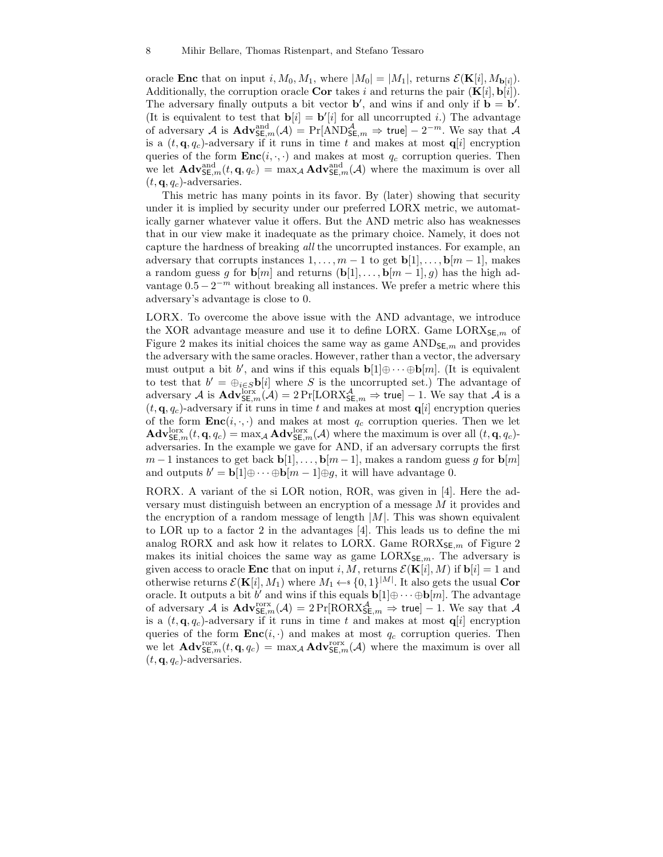oracle **Enc** that on input i,  $M_0, M_1$ , where  $|M_0| = |M_1|$ , returns  $\mathcal{E}(\mathbf{K}[i], M_{\mathbf{b}[i]})$ . Additionally, the corruption oracle **Cor** takes i and returns the pair  $(K[i], b[i])$ . The adversary finally outputs a bit vector  $\mathbf{b}'$ , and wins if and only if  $\mathbf{b} = \mathbf{b}'$ . (It is equivalent to test that  $\mathbf{b}[i] = \mathbf{b}'[i]$  for all uncorrupted i.) The advantage of adversary A is  $\mathbf{Adv}_{\mathsf{SE},m}^{\text{and}}(\mathcal{A}) = \Pr[\text{AND}_{\mathsf{SE},m}^{\mathcal{A}} \Rightarrow \mathsf{true}] - 2^{-m}$ . We say that A is a  $(t, \mathbf{q}, q_c)$ -adversary if it runs in time t and makes at most  $q[i]$  encryption queries of the form  $\text{Enc}(i, \cdot, \cdot)$  and makes at most  $q_c$  corruption queries. Then we let  $\mathbf{Adv}_{\mathsf{SE},m}^{\text{and}}(t,\mathbf{q},q_c) = \max_{\mathcal{A}} \mathbf{Adv}_{\mathsf{SE},m}^{\text{and}}(\mathcal{A})$  where the maximum is over all  $(t, \mathbf{q}, q_c)$ -adversaries.

This metric has many points in its favor. By (later) showing that security under it is implied by security under our preferred LORX metric, we automatically garner whatever value it offers. But the AND metric also has weaknesses that in our view make it inadequate as the primary choice. Namely, it does not capture the hardness of breaking *all* the uncorrupted instances. For example, an adversary that corrupts instances  $1, \ldots, m-1$  to get  $\mathbf{b}[1], \ldots, \mathbf{b}[m-1]$ , makes a random guess g for  $\mathbf{b}[m]$  and returns  $(\mathbf{b}[1], \ldots, \mathbf{b}[m-1], g)$  has the high advantage  $0.5 - 2^{-m}$  without breaking all instances. We prefer a metric where this adversary's advantage is close to 0.

LORX. To overcome the above issue with the AND advantage, we introduce the XOR advantage measure and use it to define LORX. Game LOR $X_{\mathsf{SE},m}$  of Figure 2 makes its initial choices the same way as game  $\text{AND}_{\mathsf{SE},m}$  and provides the adversary with the same oracles. However, rather than a vector, the adversary must output a bit b', and wins if this equals  $\mathbf{b}[1]\oplus \cdots \oplus \mathbf{b}[m]$ . (It is equivalent to test that  $b' = \bigoplus_{i \in S} \mathbf{b}[i]$  where S is the uncorrupted set.) The advantage of adversary A is  $\text{Adv}_{\mathsf{SE},m}^{\text{box}}(\mathcal{A}) = 2 \Pr[\text{LORX}_{\mathsf{SE},m}^{\mathcal{A}} \Rightarrow \text{true}] - 1$ . We say that A is a  $(t, \mathbf{q}, q_c)$ -adversary if it runs in time t and makes at most  $\mathbf{q}[i]$  encryption queries of the form  $\text{Enc}(i, \cdot, \cdot)$  and makes at most  $q_c$  corruption queries. Then we let  $\mathbf{Adv}_{\mathsf{SE},m}^{\text{lorx}}(t, \mathbf{q}, q_c) = \max_{\mathcal{A}} \mathbf{Adv}_{\mathsf{SE},m}^{\text{lorx}}(\mathcal{A})$  where the maximum is over all  $(t, \mathbf{q}, q_c)$ adversaries. In the example we gave for AND, if an adversary corrupts the first  $m-1$  instances to get back  $\mathbf{b}[1], \ldots, \mathbf{b}[m-1]$ , makes a random guess q for  $\mathbf{b}[m]$ and outputs  $b' = \mathbf{b}[1] \oplus \cdots \oplus \mathbf{b}[m-1] \oplus g$ , it will have advantage 0.

RORX. A variant of the si LOR notion, ROR, was given in [4]. Here the adversary must distinguish between an encryption of a message M it provides and the encryption of a random message of length  $|M|$ . This was shown equivalent to LOR up to a factor 2 in the advantages [4]. This leads us to define the mi analog RORX and ask how it relates to LORX. Game  $RORX_{\mathsf{SE},m}$  of Figure 2 makes its initial choices the same way as game  $LORX_{SE,m}$ . The adversary is given access to oracle **Enc** that on input i, M, returns  $\mathcal{E}(\mathbf{K}[i], M)$  if  $\mathbf{b}[i] = 1$  and otherwise returns  $\mathcal{E}(\mathbf{K}[i], M_1)$  where  $M_1 \leftarrow \{0, 1\}^{|M|}$ . It also gets the usual Cor oracle. It outputs a bit  $b'$  and wins if this equals  $\mathbf{b}[1]\oplus \cdots \oplus \mathbf{b}[m]$ . The advantage of adversary  $\mathcal A$  is  $\mathbf{Adv}_{\mathsf{SE},m}^{\text{torx}}(\mathcal A) = 2 \Pr[\text{RORX}_{\mathsf{SE},m}^{\mathcal A} \Rightarrow \mathsf{true}] - 1$ . We say that  $\mathcal A$ is a  $(t, \mathbf{q}, q_c)$ -adversary if it runs in time t and makes at most  $\mathbf{q}[i]$  encryption queries of the form  $\text{Enc}(i, \cdot)$  and makes at most  $q_c$  corruption queries. Then we let  $\mathbf{Adv}_{\mathsf{SE},m}^{\text{orx}}(t, \mathbf{q}, q_c) = \max_{\mathcal{A}} \mathbf{Adv}_{\mathsf{SE},m}^{\text{orx}}(\mathcal{A})$  where the maximum is over all  $(t, \mathbf{q}, q_c)$ -adversaries.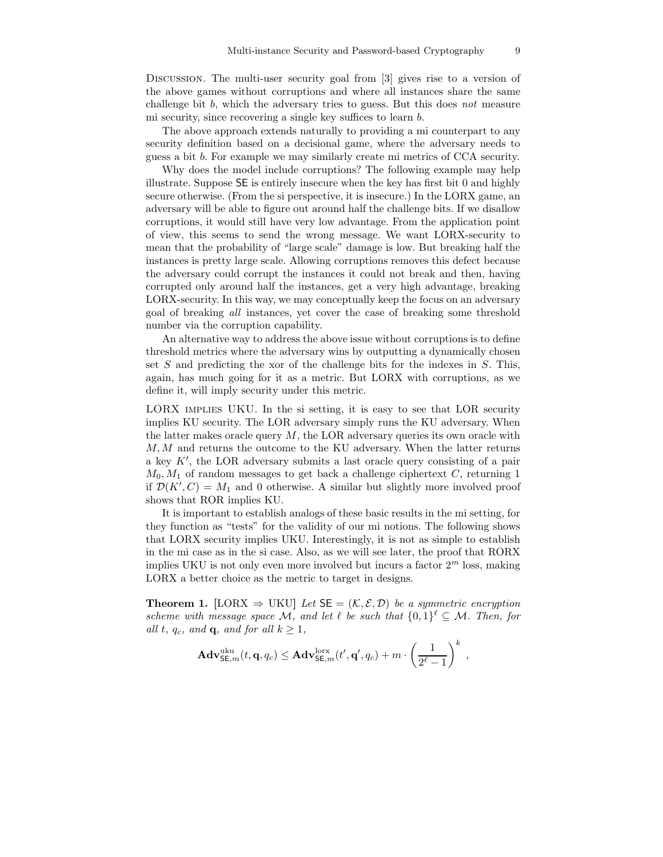Discussion. The multi-user security goal from [3] gives rise to a version of the above games without corruptions and where all instances share the same challenge bit b, which the adversary tries to guess. But this does *not* measure mi security, since recovering a single key suffices to learn b.

The above approach extends naturally to providing a mi counterpart to any security definition based on a decisional game, where the adversary needs to guess a bit b. For example we may similarly create mi metrics of CCA security.

Why does the model include corruptions? The following example may help illustrate. Suppose SE is entirely insecure when the key has first bit 0 and highly secure otherwise. (From the si perspective, it is insecure.) In the LORX game, an adversary will be able to figure out around half the challenge bits. If we disallow corruptions, it would still have very low advantage. From the application point of view, this seems to send the wrong message. We want LORX-security to mean that the probability of "large scale" damage is low. But breaking half the instances is pretty large scale. Allowing corruptions removes this defect because the adversary could corrupt the instances it could not break and then, having corrupted only around half the instances, get a very high advantage, breaking LORX-security. In this way, we may conceptually keep the focus on an adversary goal of breaking *all* instances, yet cover the case of breaking some threshold number via the corruption capability.

An alternative way to address the above issue without corruptions is to define threshold metrics where the adversary wins by outputting a dynamically chosen set  $S$  and predicting the xor of the challenge bits for the indexes in  $S$ . This, again, has much going for it as a metric. But LORX with corruptions, as we define it, will imply security under this metric.

LORX implies UKU. In the si setting, it is easy to see that LOR security implies KU security. The LOR adversary simply runs the KU adversary. When the latter makes oracle query  $M$ , the LOR adversary queries its own oracle with M, M and returns the outcome to the KU adversary. When the latter returns a key K′ , the LOR adversary submits a last oracle query consisting of a pair  $M_0, M_1$  of random messages to get back a challenge ciphertext C, returning 1 if  $\mathcal{D}(K', C) = M_1$  and 0 otherwise. A similar but slightly more involved proof shows that ROR implies KU.

It is important to establish analogs of these basic results in the mi setting, for they function as "tests" for the validity of our mi notions. The following shows that LORX security implies UKU. Interestingly, it is not as simple to establish in the mi case as in the si case. Also, as we will see later, the proof that RORX implies UKU is not only even more involved but incurs a factor  $2<sup>m</sup>$  loss, making LORX a better choice as the metric to target in designs.

**Theorem 1.** [LORX  $\Rightarrow$  UKU] *Let*  $SE = (K, \mathcal{E}, \mathcal{D})$  *be a symmetric encryption scheme with message space* M, and let  $\ell$  be such that  $\{0,1\}^{\ell} \subseteq M$ . Then, for *all*  $t$ *,*  $q_c$ *<i>, and*  $\mathbf{q}$ *, and for all*  $k \geq 1$ *,* 

$$
\mathbf{Adv}^{\mathrm{uku}}_{\mathsf{SE},m}(t,\mathbf{q},q_c) \leq \mathbf{Adv}^{\mathrm{lorx}}_{\mathsf{SE},m}(t',\mathbf{q}',q_c) + m \cdot \left(\frac{1}{2^{\ell}-1}\right)^k,
$$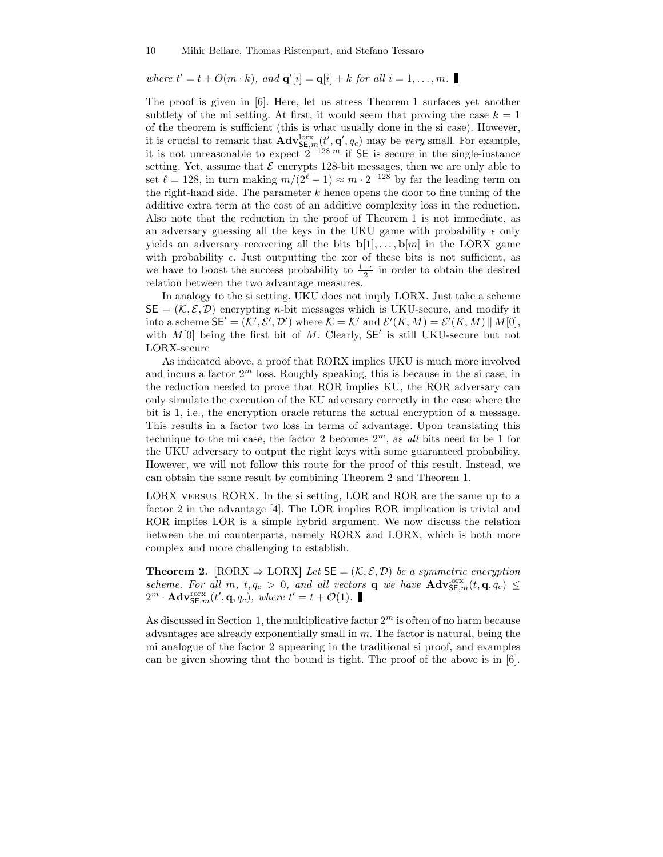where  $t' = t + O(m \cdot k)$ , and  $\mathbf{q}'[i] = \mathbf{q}[i] + k$  for all  $i = 1, \ldots, m$ .

The proof is given in [6]. Here, let us stress Theorem 1 surfaces yet another subtlety of the mi setting. At first, it would seem that proving the case  $k = 1$ of the theorem is sufficient (this is what usually done in the si case). However, it is crucial to remark that  $\mathbf{Adv}_{\mathsf{SE},m}^{\text{lorx}}(t', \mathbf{q}', q_c)$  may be *very* small. For example, it is not unreasonable to expect  $2^{-128 \cdot m}$  if SE is secure in the single-instance setting. Yet, assume that  $\mathcal E$  encrypts 128-bit messages, then we are only able to set  $\ell = 128$ , in turn making  $m/(2^{\ell}-1) \approx m \cdot 2^{-128}$  by far the leading term on the right-hand side. The parameter  $k$  hence opens the door to fine tuning of the additive extra term at the cost of an additive complexity loss in the reduction. Also note that the reduction in the proof of Theorem 1 is not immediate, as an adversary guessing all the keys in the UKU game with probability  $\epsilon$  only yields an adversary recovering all the bits  $\mathbf{b}[1], \ldots, \mathbf{b}[m]$  in the LORX game with probability  $\epsilon$ . Just outputting the xor of these bits is not sufficient, as we have to boost the success probability to  $\frac{1+\epsilon}{2}$  in order to obtain the desired relation between the two advantage measures.

In analogy to the si setting, UKU does not imply LORX. Just take a scheme  $\mathsf{SE} = (\mathcal{K}, \mathcal{E}, \mathcal{D})$  encrypting *n*-bit messages which is UKU-secure, and modify it into a scheme  $\mathsf{SE}' = (\mathcal{K}', \mathcal{E}', \mathcal{D}')$  where  $\mathcal{K} = \mathcal{K}'$  and  $\mathcal{E}'(K, M) = \mathcal{E}'(K, M) || M[0],$ with  $M[0]$  being the first bit of M. Clearly,  $SE'$  is still UKU-secure but not LORX-secure

As indicated above, a proof that RORX implies UKU is much more involved and incurs a factor  $2^m$  loss. Roughly speaking, this is because in the si case, in the reduction needed to prove that ROR implies KU, the ROR adversary can only simulate the execution of the KU adversary correctly in the case where the bit is 1, i.e., the encryption oracle returns the actual encryption of a message. This results in a factor two loss in terms of advantage. Upon translating this technique to the mi case, the factor 2 becomes  $2^m$ , as *all* bits need to be 1 for the UKU adversary to output the right keys with some guaranteed probability. However, we will not follow this route for the proof of this result. Instead, we can obtain the same result by combining Theorem 2 and Theorem 1.

LORX versus RORX. In the si setting, LOR and ROR are the same up to a factor 2 in the advantage [4]. The LOR implies ROR implication is trivial and ROR implies LOR is a simple hybrid argument. We now discuss the relation between the mi counterparts, namely RORX and LORX, which is both more complex and more challenging to establish.

**Theorem 2.** [RORX  $\Rightarrow$  LORX] *Let*  $SE = (K, \mathcal{E}, \mathcal{D})$  *be a symmetric encryption* scheme. For all m,  $t, q_c > 0$ , and all vectors **q** we have  $\mathbf{Adv}_{\mathsf{SE},m}^{\text{box}}(t, \mathbf{q}, q_c) \leq$  $2^m \cdot \mathbf{Adv}_{\mathsf{SE},m}^{\text{rors}}(t', \mathbf{q}, q_c)$ , where  $t' = t + \mathcal{O}(1)$ .

As discussed in Section 1, the multiplicative factor  $2<sup>m</sup>$  is often of no harm because advantages are already exponentially small in  $m$ . The factor is natural, being the mi analogue of the factor 2 appearing in the traditional si proof, and examples can be given showing that the bound is tight. The proof of the above is in [6].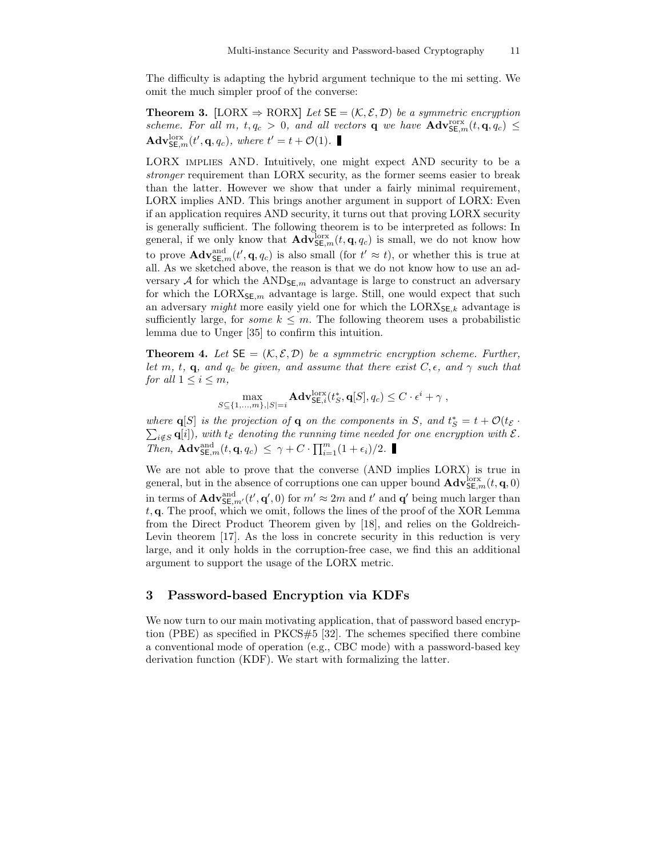The difficulty is adapting the hybrid argument technique to the mi setting. We omit the much simpler proof of the converse:

**Theorem 3.** [LORX  $\Rightarrow$  RORX] *Let*  $SE = (K, \mathcal{E}, \mathcal{D})$  *be a symmetric encryption* scheme. For all m,  $t, q_c > 0$ , and all vectors **q** we have  $\mathbf{Adv}_{\mathsf{SE},m}^{\text{orx}}(t, \mathbf{q}, q_c) \leq$  $\mathbf{Adv}_{\mathsf{SE},m}^{\text{lorx}}(t', \mathbf{q}, q_c)$ , where  $t' = t + \mathcal{O}(1)$ .

LORX implies AND. Intuitively, one might expect AND security to be a *stronger* requirement than LORX security, as the former seems easier to break than the latter. However we show that under a fairly minimal requirement, LORX implies AND. This brings another argument in support of LORX: Even if an application requires AND security, it turns out that proving LORX security is generally sufficient. The following theorem is to be interpreted as follows: In general, if we only know that  $\mathbf{Adv}_{\mathsf{SE},m}^{\text{lorx}}(t, \mathbf{q}, q_c)$  is small, we do not know how to prove  $\mathbf{Adv}_{\mathsf{SE},m}^{\text{and}}(t', \mathbf{q}, q_c)$  is also small (for  $t' \approx t$ ), or whether this is true at all. As we sketched above, the reason is that we do not know how to use an adversary A for which the AND<sub>SE,m</sub> advantage is large to construct an adversary for which the LORX $_{\mathsf{SE},m}$  advantage is large. Still, one would expect that such an adversary *might* more easily yield one for which the  $LORX_{\mathsf{SE},k}$  advantage is sufficiently large, for *some*  $k \leq m$ . The following theorem uses a probabilistic lemma due to Unger [35] to confirm this intuition.

**Theorem 4.** Let  $SE = (K, \mathcal{E}, \mathcal{D})$  be a symmetric encryption scheme. Further, *let* m, t, q, and  $q_c$  *be given, and assume that there exist*  $C, \epsilon$ *, and*  $\gamma$  *such that for all*  $1 \leq i \leq m$ *,* 

$$
\max_{S \subseteq \{1,\ldots,m\},|S|=i} \mathbf{Adv}_{\mathsf{SE},i}^{\text{lorx}}(t_S^*, \mathbf{q}[S], q_c) \leq C \cdot \epsilon^i + \gamma ,
$$

*where*  $q[S]$  *is the projection of*  $q$  *on the components in*  $S$ *, and*  $t_S^* = t + \mathcal{O}(t_{\mathcal{E}}$  *·*  $\sum_{i \notin S} \mathbf{q}[i]$ , with  $t_{\mathcal{E}}$  denoting the running time needed for one encryption with  $\mathcal{E}$ . *Then,*  $\mathbf{Adv}_{\mathsf{SE},m}^{\text{and}}(t, \mathbf{q}, q_c) \leq \gamma + C \cdot \prod_{i=1}^{m} (1 + \epsilon_i)/2.$ 

We are not able to prove that the converse (AND implies LORX) is true in general, but in the absence of corruptions one can upper bound  $\mathbf{Adv}_{\mathsf{SE},m}^{\text{box}}(t, \mathbf{q},0)$ in terms of  $\mathbf{Adv}_{\mathsf{SE},m'}^{\text{and}}(t',\mathbf{q}',0)$  for  $m' \approx 2m$  and  $t'$  and  $\mathbf{q}'$  being much larger than  $t$ , q. The proof, which we omit, follows the lines of the proof of the XOR Lemma from the Direct Product Theorem given by [18], and relies on the Goldreich-Levin theorem [17]. As the loss in concrete security in this reduction is very large, and it only holds in the corruption-free case, we find this an additional argument to support the usage of the LORX metric.

#### 3 Password-based Encryption via KDFs

We now turn to our main motivating application, that of password based encryption (PBE) as specified in PKCS#5 [32]. The schemes specified there combine a conventional mode of operation (e.g., CBC mode) with a password-based key derivation function (KDF). We start with formalizing the latter.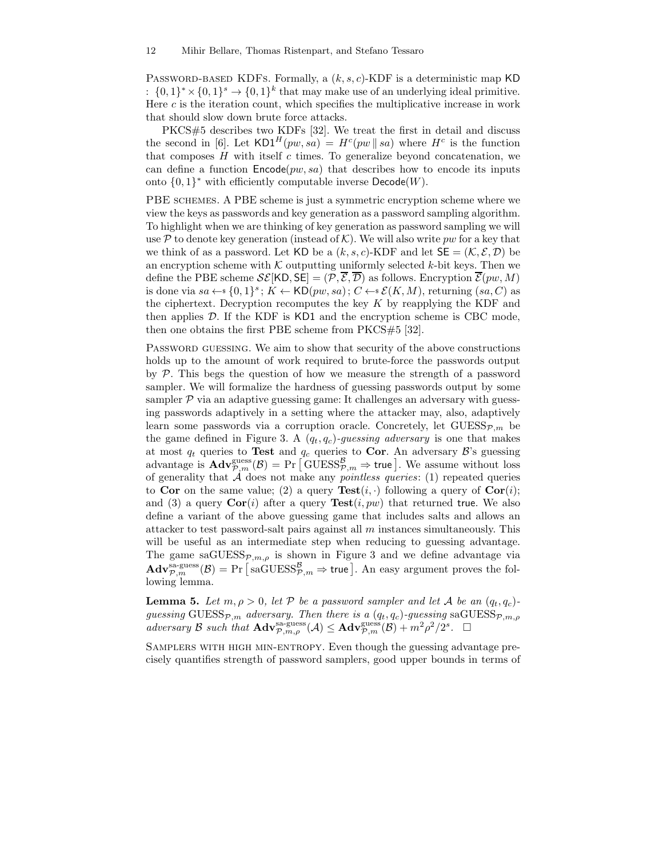PASSWORD-BASED KDFS. Formally, a  $(k, s, c)$ -KDF is a deterministic map KD :  $\{0,1\}^* \times \{0,1\}^s \to \{0,1\}^k$  that may make use of an underlying ideal primitive. Here c is the iteration count, which specifies the multiplicative increase in work that should slow down brute force attacks.

PKCS#5 describes two KDFs [32]. We treat the first in detail and discuss the second in [6]. Let  $KD1^H(pw, sa) = H^c(pw \parallel sa)$  where  $H^c$  is the function that composes  $H$  with itself  $c$  times. To generalize beyond concatenation, we can define a function  $\mathsf{Encode}(pw, sa)$  that describes how to encode its inputs onto  $\{0,1\}^*$  with efficiently computable inverse  $\mathsf{Decode}(W)$ .

PBE schemes. A PBE scheme is just a symmetric encryption scheme where we view the keys as passwords and key generation as a password sampling algorithm. To highlight when we are thinking of key generation as password sampling we will use P to denote key generation (instead of K). We will also write pw for a key that we think of as a password. Let KD be a  $(k, s, c)$ -KDF and let  $SE = (K, \mathcal{E}, \mathcal{D})$  be an encryption scheme with  $K$  outputting uniformly selected k-bit keys. Then we define the PBE scheme  $\mathcal{SE}[\mathsf{KD}, \mathsf{SE}] = (\mathcal{P}, \overline{\mathcal{E}}, \overline{\mathcal{D}})$  as follows. Encryption  $\overline{\mathcal{E}}(pw, M)$ is done via  $sa \leftarrow \{0,1\}^s$ ;  $K \leftarrow \mathsf{KD}(pw, sa)$ ;  $C \leftarrow s\mathcal{E}(K, M)$ , returning  $(sa, C)$  as the ciphertext. Decryption recomputes the key  $K$  by reapplying the KDF and then applies  $D$ . If the KDF is KD1 and the encryption scheme is CBC mode, then one obtains the first PBE scheme from PKCS#5 [32].

Password guessing. We aim to show that security of the above constructions holds up to the amount of work required to brute-force the passwords output by  $P$ . This begs the question of how we measure the strength of a password sampler. We will formalize the hardness of guessing passwords output by some sampler  $P$  via an adaptive guessing game: It challenges an adversary with guessing passwords adaptively in a setting where the attacker may, also, adaptively learn some passwords via a corruption oracle. Concretely, let  $GUESS_{\mathcal{P},m}$  be the game defined in Figure 3. A  $(q_t, q_c)$ -guessing adversary is one that makes at most  $q_t$  queries to **Test** and  $q_c$  queries to **Cor**. An adversary  $\mathcal{B}$ 's guessing advantage is  $\mathbf{Adv}_{\mathcal{P},m}^{\text{guess}}(\mathcal{B}) = \Pr \left[ \text{GUESS}_{\mathcal{P},m}^{\mathcal{B}} \Rightarrow \text{true} \right]$ . We assume without loss of generality that A does not make any *pointless queries*: (1) repeated queries to Cor on the same value; (2) a query  $Test(i, \cdot)$  following a query of  $Cor(i)$ ; and (3) a query  $Cor(i)$  after a query  $Test(i, pw)$  that returned true. We also define a variant of the above guessing game that includes salts and allows an attacker to test password-salt pairs against all  $m$  instances simultaneously. This will be useful as an intermediate step when reducing to guessing advantage. The game saGUESS $_{\mathcal{P},m,\rho}$  is shown in Figure 3 and we define advantage via  $\mathbf{Adv}_{\mathcal{P},m}^{\mathrm{sa-guess}}(\mathcal{B}) = \Pr\big[\, \mathrm{saGUESS}_{\mathcal{P},m}^{\mathcal{B}} \Rightarrow \mathsf{true} \, \big].\ \mathrm{An\; easy\; argument\; proves\; the\; fol-}$ lowing lemma.

**Lemma 5.** Let  $m, \rho > 0$ , let P be a password sampler and let A be an  $(q_t, q_c)$  $guessing$   $GUESS_{\mathcal{P},m}$  *adversary. Then there is a*  $(q_t, q_c)$ -guessing sa $GUESS_{\mathcal{P},m,\rho}$  $\Delta d\nu$ ersary  $\mathcal B$  *such that*  $\mathbf{Adv}_{\mathcal{P},m,\rho}^{\text{sa-guess}}(\mathcal A) \leq \mathbf{Adv}_{\mathcal{P},m}^{\text{guess}}(\mathcal B) + m^2\rho^2/2^s$ .  $\Box$ 

Samplers with high min-entropy. Even though the guessing advantage precisely quantifies strength of password samplers, good upper bounds in terms of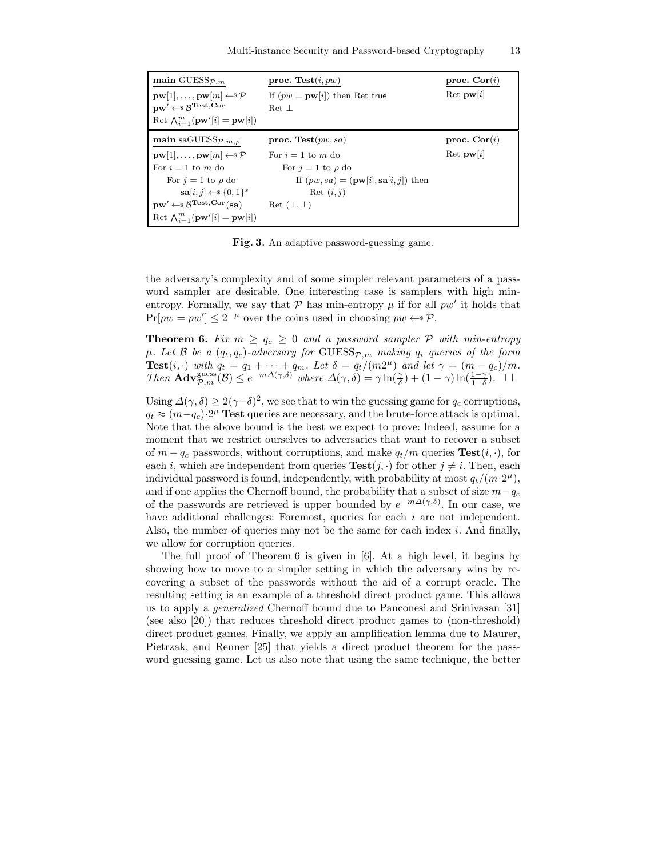| main GUESS $_{\mathcal{P},m}$                                                 | proc. Test $(i, pw)$                                     | proc. $Cor(i)$               |
|-------------------------------------------------------------------------------|----------------------------------------------------------|------------------------------|
| $\mathbf{pw}[1], \ldots, \mathbf{pw}[m] \leftarrow \mathcal{P}$               | If $(pw = pw[i])$ then Ret true                          | $\text{Ret } \mathbf{pw}[i]$ |
| $\mathbf{p}\mathbf{w}' \leftarrow \$ \mathcal{B}^\mathbf{Test}, \mathbf{Cor}$ | Ret 1                                                    |                              |
| Ret $\bigwedge_{i=1}^m (\mathbf{pw}'[i] = \mathbf{pw}[i])$                    |                                                          |                              |
| main saGUESS $_{\mathcal{P},m,\rho}$                                          | proc. Test $(pw, sa)$                                    | proc. $Cor(i)$               |
| $\mathbf{pw}[1], \ldots, \mathbf{pw}[m] \leftarrow \mathcal{P}$               | For $i = 1$ to m do                                      | $\text{Ret } \mathbf{pw}[i]$ |
| For $i = 1$ to m do                                                           | For $j = 1$ to $\rho$ do                                 |                              |
| For $i = 1$ to $\rho$ do                                                      | If $(pw, sa) = (\mathbf{pw}[i], \mathbf{sa}[i, j])$ then |                              |
| $\mathbf{sa}[i,j] \leftarrow \{0,1\}^s$                                       | Ret $(i, j)$                                             |                              |
| $pw' \leftarrow \$\mathcal{B}^{Test,Cor}(sa)$                                 | $\rm Ret\;(\perp,\perp)$                                 |                              |
| Ret $\bigwedge_{i=1}^m (\mathbf{pw}'[i] = \mathbf{pw}[i])$                    |                                                          |                              |

Fig. 3. An adaptive password-guessing game.

the adversary's complexity and of some simpler relevant parameters of a password sampler are desirable. One interesting case is samplers with high minentropy. Formally, we say that  $P$  has min-entropy  $\mu$  if for all  $pw'$  it holds that  $Pr[pw = pw'] \leq 2^{-\mu}$  over the coins used in choosing  $pw \leftrightarrow \mathcal{P}$ .

**Theorem 6.** Fix  $m \geq q_c \geq 0$  and a password sampler  $P$  with min-entropy  $\mu$ *. Let*  $\beta$  *be a*  $(q_t, q_c)$ *-adversary for* GUESS $_{\mathcal{P},m}$  *making*  $q_i$  *queries of the form* **Test**(*i*, ·) *with*  $q_t = q_1 + \cdots + q_m$ . Let  $\delta = q_t/(m2^{\mu})$  and let  $\gamma = (m - q_c)/m$ . *Then*  $\mathbf{Adv}_{\mathcal{P},m}^{\text{guess}}(\mathcal{B}) \leq e^{-m\Delta(\gamma,\delta)}$  *where*  $\Delta(\gamma,\delta) = \gamma \ln(\frac{\gamma}{\delta}) + (1-\gamma) \ln(\frac{1-\gamma}{1-\delta})$ .  $\Box$ 

Using  $\Delta(\gamma,\delta) \geq 2(\gamma-\delta)^2$ , we see that to win the guessing game for  $q_c$  corruptions,  $q_t \approx (m-q_c) \cdot 2^{\mu}$  Test queries are necessary, and the brute-force attack is optimal. Note that the above bound is the best we expect to prove: Indeed, assume for a moment that we restrict ourselves to adversaries that want to recover a subset of  $m - q_c$  passwords, without corruptions, and make  $q_t/m$  queries  $\text{Test}(i, \cdot)$ , for each i, which are independent from queries  $Test(j, \cdot)$  for other  $j \neq i$ . Then, each individual password is found, independently, with probability at most  $q_t/(m \cdot 2^{\mu})$ , and if one applies the Chernoff bound, the probability that a subset of size  $m-q_c$ of the passwords are retrieved is upper bounded by  $e^{-m\Delta(\gamma,\delta)}$ . In our case, we have additional challenges: Foremost, queries for each i are not independent. Also, the number of queries may not be the same for each index  $i$ . And finally, we allow for corruption queries.

The full proof of Theorem 6 is given in [6]. At a high level, it begins by showing how to move to a simpler setting in which the adversary wins by recovering a subset of the passwords without the aid of a corrupt oracle. The resulting setting is an example of a threshold direct product game. This allows us to apply a *generalized* Chernoff bound due to Panconesi and Srinivasan [31] (see also [20]) that reduces threshold direct product games to (non-threshold) direct product games. Finally, we apply an amplification lemma due to Maurer, Pietrzak, and Renner [25] that yields a direct product theorem for the password guessing game. Let us also note that using the same technique, the better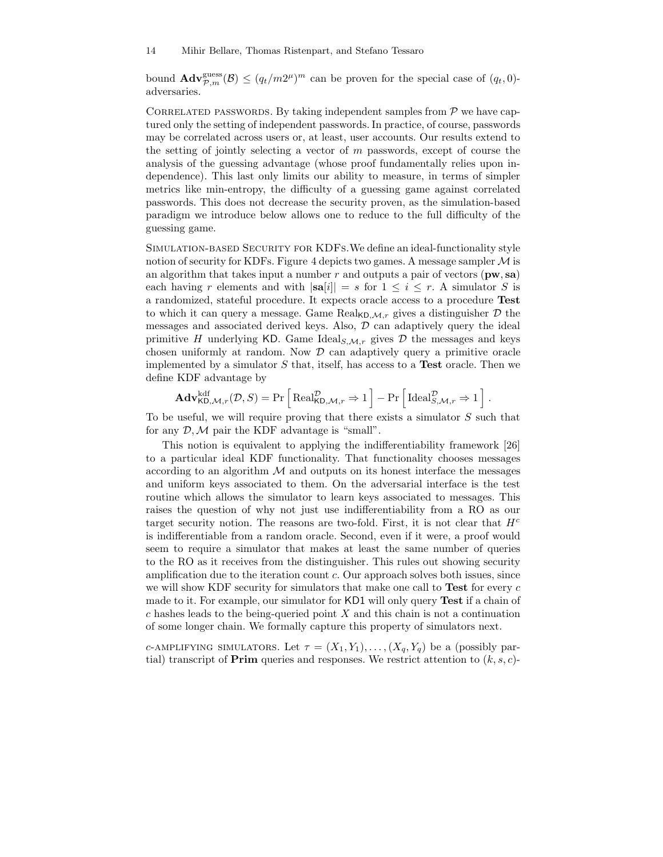bound  $\mathbf{Adv}_{\mathcal{P},m}^{\text{guess}}(\mathcal{B}) \leq (q_t/m2^{\mu})^m$  can be proven for the special case of  $(q_t, 0)$ adversaries.

CORRELATED PASSWORDS. By taking independent samples from  $P$  we have captured only the setting of independent passwords. In practice, of course, passwords may be correlated across users or, at least, user accounts. Our results extend to the setting of jointly selecting a vector of  $m$  passwords, except of course the analysis of the guessing advantage (whose proof fundamentally relies upon independence). This last only limits our ability to measure, in terms of simpler metrics like min-entropy, the difficulty of a guessing game against correlated passwords. This does not decrease the security proven, as the simulation-based paradigm we introduce below allows one to reduce to the full difficulty of the guessing game.

Simulation-based Security for KDFs.We define an ideal-functionality style notion of security for KDFs. Figure 4 depicts two games. A message sampler  $\mathcal M$  is an algorithm that takes input a number r and outputs a pair of vectors  $(pw, sa)$ each having r elements and with  $|\mathbf{sa}[i]| = s$  for  $1 \le i \le r$ . A simulator S is a randomized, stateful procedure. It expects oracle access to a procedure Test to which it can query a message. Game  $\text{Real}_{\mathsf{KD,M},r}$  gives a distinguisher  $\mathcal D$  the messages and associated derived keys. Also,  $D$  can adaptively query the ideal primitive H underlying KD. Game Ideal<sub>S, $M,r$ </sub> gives D the messages and keys chosen uniformly at random. Now  $D$  can adaptively query a primitive oracle implemented by a simulator  $S$  that, itself, has access to a **Test** oracle. Then we define KDF advantage by

$$
\mathbf{Adv}_{\mathsf{KD},\mathcal{M},r}^{\text{kdf}}(\mathcal{D},S) = \Pr\left[\text{Real}_{\mathsf{KD},\mathcal{M},r}^{\mathcal{D}} \Rightarrow 1\right] - \Pr\left[\text{Ideal}_{S,\mathcal{M},r}^{\mathcal{D}} \Rightarrow 1\right].
$$

To be useful, we will require proving that there exists a simulator S such that for any  $\mathcal{D}, \mathcal{M}$  pair the KDF advantage is "small".

This notion is equivalent to applying the indifferentiability framework [26] to a particular ideal KDF functionality. That functionality chooses messages according to an algorithm  $\mathcal M$  and outputs on its honest interface the messages and uniform keys associated to them. On the adversarial interface is the test routine which allows the simulator to learn keys associated to messages. This raises the question of why not just use indifferentiability from a RO as our target security notion. The reasons are two-fold. First, it is not clear that  $H<sup>c</sup>$ is indifferentiable from a random oracle. Second, even if it were, a proof would seem to require a simulator that makes at least the same number of queries to the RO as it receives from the distinguisher. This rules out showing security amplification due to the iteration count c. Our approach solves both issues, since we will show KDF security for simulators that make one call to **Test** for every  $c$ made to it. For example, our simulator for KD1 will only query Test if a chain of  $c$  hashes leads to the being-queried point  $X$  and this chain is not a continuation of some longer chain. We formally capture this property of simulators next.

c-AMPLIFYING SIMULATORS. Let  $\tau = (X_1, Y_1), \ldots, (X_q, Y_q)$  be a (possibly partial) transcript of **Prim** queries and responses. We restrict attention to  $(k, s, c)$ -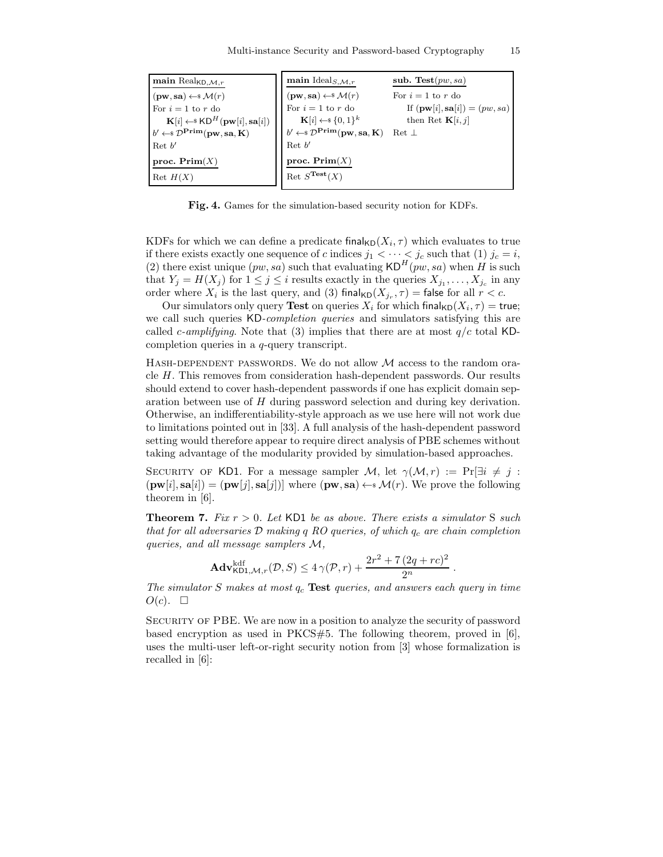| main $\text{Real}_{\mathsf{KD},\mathcal{M},r}$                                  | main Ideal <sub>S,<math>M,r</math></sub>                                                    | sub. Test $(pw, sa)$                             |
|---------------------------------------------------------------------------------|---------------------------------------------------------------------------------------------|--------------------------------------------------|
| $(\mathbf{pw}, \mathbf{sa}) \leftarrow \mathcal{M}(r)$                          | $(\mathbf{pw}, \mathbf{sa}) \leftarrow^* \mathcal{M}(r)$                                    | For $i=1$ to r do                                |
| For $i=1$ to r do                                                               | For $i=1$ to r do                                                                           | If $(\mathbf{pw}[i], \mathbf{sa}[i]) = (pw, sa)$ |
| $\mathbf{K}[i] \leftarrow \s \mathsf{KD}^H(\mathbf{pw}[i], \mathbf{sa}[i])$     | $\mathbf{K}[i] \leftarrow \{0,1\}^k$                                                        | then Ret $\mathbf{K}[i, j]$                      |
| $b' \leftarrow \mathcal{D}^{\text{Prim}}(\mathbf{pw}, \mathbf{sa}, \mathbf{K})$ | $b' \leftarrow \mathcal{D}^{\text{Prim}}(\mathbf{pw}, \mathbf{sa}, \mathbf{K})$ Ret $\perp$ |                                                  |
| $\operatorname{Ret} b'$                                                         | $\operatorname{Ret} b'$                                                                     |                                                  |
| proc. $\text{Prim}(X)$                                                          | proc. $\text{Prim}(X)$                                                                      |                                                  |
| $\text{Ret } H(X)$                                                              | $\mathrm{Ret} S^{\mathrm{Test}}(X)$                                                         |                                                  |

Fig. 4. Games for the simulation-based security notion for KDFs.

KDFs for which we can define a predicate final<sub>KD</sub> $(X_i, \tau)$  which evaluates to true if there exists exactly one sequence of c indices  $j_1 < \cdots < j_c$  such that (1)  $j_c = i$ , (2) there exist unique  $(pw, sa)$  such that evaluating  $\mathsf{KD}^H(pw, sa)$  when H is such that  $Y_j = H(X_j)$  for  $1 \leq j \leq i$  results exactly in the queries  $X_{j_1}, \ldots, X_{j_c}$  in any order where  $X_i$  is the last query, and (3) final<sub>KD</sub> $(X_{j_r}, \tau)$  = false for all  $r < c$ .

Our simulators only query **Test** on queries  $X_i$  for which final<sub>KD</sub> $(X_i, \tau) =$  true; we call such queries KD*-completion queries* and simulators satisfying this are called *c*-amplifying. Note that (3) implies that there are at most  $q/c$  total KDcompletion queries in a q-query transcript.

HASH-DEPENDENT PASSWORDS. We do not allow  $\mathcal M$  access to the random oracle H. This removes from consideration hash-dependent passwords. Our results should extend to cover hash-dependent passwords if one has explicit domain separation between use of H during password selection and during key derivation. Otherwise, an indifferentiability-style approach as we use here will not work due to limitations pointed out in [33]. A full analysis of the hash-dependent password setting would therefore appear to require direct analysis of PBE schemes without taking advantage of the modularity provided by simulation-based approaches.

SECURITY OF KD1. For a message sampler M, let  $\gamma(\mathcal{M}, r) := \Pr[\exists i \neq j :$  $(\mathbf{pw}[i], \mathbf{sa}[i]) = (\mathbf{pw}[j], \mathbf{sa}[j])$  where  $(\mathbf{pw}, \mathbf{sa}) \leftarrow \mathcal{M}(r)$ . We prove the following theorem in [6].

Theorem 7. *Fix* r > 0*. Let* KD1 *be as above. There exists a simulator* S *such that for all adversaries* D *making* q *RO queries, of which* q<sup>c</sup> *are chain completion queries, and all message samplers* M*,*

$$
\mathbf{Adv}_{\mathsf{KD1},\mathcal{M},r}^{\text{kdf}}(\mathcal{D},S) \le 4\,\gamma(\mathcal{P},r) + \frac{2r^2 + 7\,(2q + rc)^2}{2^n}
$$

.

*The simulator* S makes at most  $q_c$  **Test** *queries, and answers each query in time*  $O(c)$ .  $\square$ 

Security of PBE. We are now in a position to analyze the security of password based encryption as used in  $PKCS#5$ . The following theorem, proved in [6], uses the multi-user left-or-right security notion from [3] whose formalization is recalled in [6]: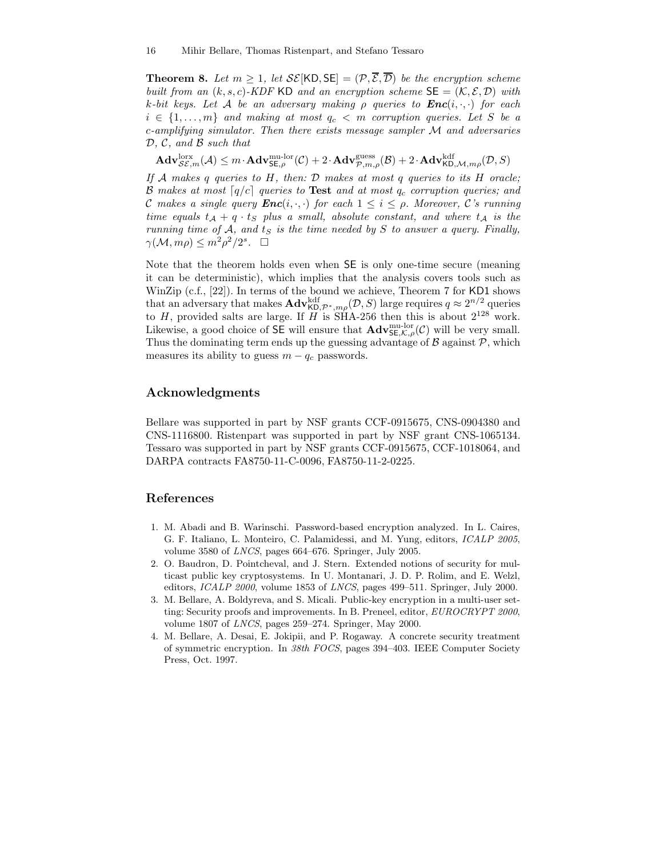**Theorem 8.** Let  $m > 1$ , let  $\mathcal{SE}[\mathsf{KD}, \mathsf{SE}] = (\mathcal{P}, \overline{\mathcal{E}}, \overline{\mathcal{D}})$  be the encryption scheme *built from an*  $(k, s, c)$ *-KDF* KD *and an encryption scheme*  $\mathsf{SE} = (\mathcal{K}, \mathcal{E}, \mathcal{D})$  *with*  $k$ -bit keys. Let A be an adversary making  $\rho$  queries to  $Enc(i, \cdot, \cdot)$  for each  $i \in \{1, \ldots, m\}$  and making at most  $q_c < m$  corruption queries. Let S be a c*-amplifying simulator. Then there exists message sampler* M *and adversaries* D*,* C*, and* B *such that*

 $\mathbf{Adv}_{\mathcal{SE},m}^{\text{lorx}}(\mathcal{A}) \leq m \cdot \mathbf{Adv}_{\mathsf{SE},\rho}^{\text{mul-lor}}(\mathcal{C}) + 2 \cdot \mathbf{Adv}_{\mathcal{P},m,\rho}^{\text{guess}}(\mathcal{B}) + 2 \cdot \mathbf{Adv}_{\mathsf{KD},\mathcal{M},m\rho}^{\text{kdf}}(\mathcal{D},S)$ 

*If* A *makes* q *queries to* H*, then:* D *makes at most* q *queries to its* H *oracle;* B makes at most  $[q/c]$  queries to **Test** and at most  $q_c$  corruption queries; and C makes a single query  $\text{Enc}(i, \cdot, \cdot)$  for each  $1 \leq i \leq \rho$ . Moreover, C's running *time equals*  $t_A + q \cdot t_S$  *plus a small, absolute constant, and where*  $t_A$  *is the running time of*  $A$ *, and*  $t_S$  *is the time needed by*  $S$  *to answer a query. Finally,*  $\gamma(\mathcal{M}, m\rho) \leq m^2 \rho^2/2^s$ .  $\Box$ 

Note that the theorem holds even when SE is only one-time secure (meaning it can be deterministic), which implies that the analysis covers tools such as WinZip (c.f., [22]). In terms of the bound we achieve, Theorem 7 for KD1 shows that an adversary that makes  $\text{Adv}_{\mathsf{KD},\mathcal{P}^*,m\rho}^{\text{kdf}}(\mathcal{D},S)$  large requires  $q \approx 2^{n/2}$  queries to H, provided salts are large. If  $H$  is SHA-256 then this is about  $2^{128}$  work. Likewise, a good choice of  $S\bar{E}$  will ensure that  $\mathbf{Adv}_{SE,\mathcal{K},\rho}^{\text{nu-lor}}(\mathcal{C})$  will be very small. Thus the dominating term ends up the guessing advantage of  $\beta$  against  $\mathcal{P}$ , which measures its ability to guess  $m - q_c$  passwords.

## Acknowledgments

Bellare was supported in part by NSF grants CCF-0915675, CNS-0904380 and CNS-1116800. Ristenpart was supported in part by NSF grant CNS-1065134. Tessaro was supported in part by NSF grants CCF-0915675, CCF-1018064, and DARPA contracts FA8750-11-C-0096, FA8750-11-2-0225.

## References

- 1. M. Abadi and B. Warinschi. Password-based encryption analyzed. In L. Caires, G. F. Italiano, L. Monteiro, C. Palamidessi, and M. Yung, editors, ICALP 2005, volume 3580 of LNCS, pages 664–676. Springer, July 2005.
- 2. O. Baudron, D. Pointcheval, and J. Stern. Extended notions of security for multicast public key cryptosystems. In U. Montanari, J. D. P. Rolim, and E. Welzl, editors, ICALP 2000, volume 1853 of LNCS, pages 499–511. Springer, July 2000.
- 3. M. Bellare, A. Boldyreva, and S. Micali. Public-key encryption in a multi-user setting: Security proofs and improvements. In B. Preneel, editor, EUROCRYPT 2000, volume 1807 of LNCS, pages 259–274. Springer, May 2000.
- 4. M. Bellare, A. Desai, E. Jokipii, and P. Rogaway. A concrete security treatment of symmetric encryption. In 38th FOCS, pages 394–403. IEEE Computer Society Press, Oct. 1997.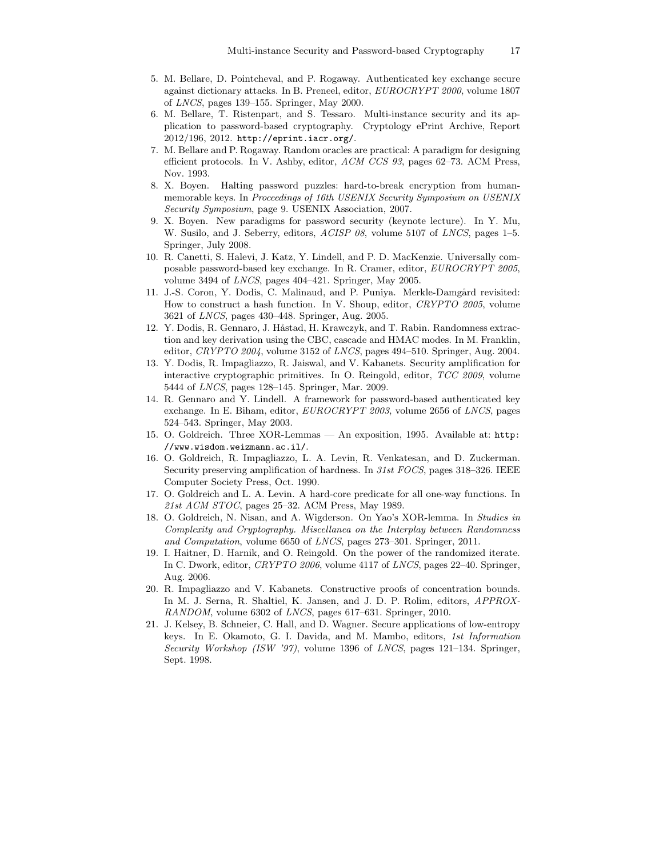- 5. M. Bellare, D. Pointcheval, and P. Rogaway. Authenticated key exchange secure against dictionary attacks. In B. Preneel, editor, EUROCRYPT 2000, volume 1807 of LNCS, pages 139–155. Springer, May 2000.
- 6. M. Bellare, T. Ristenpart, and S. Tessaro. Multi-instance security and its application to password-based cryptography. Cryptology ePrint Archive, Report 2012/196, 2012. http://eprint.iacr.org/.
- 7. M. Bellare and P. Rogaway. Random oracles are practical: A paradigm for designing efficient protocols. In V. Ashby, editor, ACM CCS 93, pages 62–73. ACM Press, Nov. 1993.
- 8. X. Boyen. Halting password puzzles: hard-to-break encryption from humanmemorable keys. In Proceedings of 16th USENIX Security Symposium on USENIX Security Symposium, page 9. USENIX Association, 2007.
- 9. X. Boyen. New paradigms for password security (keynote lecture). In Y. Mu, W. Susilo, and J. Seberry, editors, ACISP 08, volume 5107 of LNCS, pages 1–5. Springer, July 2008.
- 10. R. Canetti, S. Halevi, J. Katz, Y. Lindell, and P. D. MacKenzie. Universally composable password-based key exchange. In R. Cramer, editor, EUROCRYPT 2005, volume 3494 of LNCS, pages 404–421. Springer, May 2005.
- 11. J.-S. Coron, Y. Dodis, C. Malinaud, and P. Puniya. Merkle-Damgård revisited: How to construct a hash function. In V. Shoup, editor, CRYPTO 2005, volume 3621 of LNCS, pages 430–448. Springer, Aug. 2005.
- 12. Y. Dodis, R. Gennaro, J. Håstad, H. Krawczyk, and T. Rabin. Randomness extraction and key derivation using the CBC, cascade and HMAC modes. In M. Franklin, editor,  $CRYPTO$  2004, volume 3152 of LNCS, pages 494–510. Springer, Aug. 2004.
- 13. Y. Dodis, R. Impagliazzo, R. Jaiswal, and V. Kabanets. Security amplification for interactive cryptographic primitives. In O. Reingold, editor, TCC 2009, volume 5444 of LNCS, pages 128–145. Springer, Mar. 2009.
- 14. R. Gennaro and Y. Lindell. A framework for password-based authenticated key exchange. In E. Biham, editor, EUROCRYPT 2003, volume 2656 of LNCS, pages 524–543. Springer, May 2003.
- 15. O. Goldreich. Three XOR-Lemmas An exposition, 1995. Available at: http: //www.wisdom.weizmann.ac.il/.
- 16. O. Goldreich, R. Impagliazzo, L. A. Levin, R. Venkatesan, and D. Zuckerman. Security preserving amplification of hardness. In 31st FOCS, pages 318–326. IEEE Computer Society Press, Oct. 1990.
- 17. O. Goldreich and L. A. Levin. A hard-core predicate for all one-way functions. In 21st ACM STOC, pages 25–32. ACM Press, May 1989.
- 18. O. Goldreich, N. Nisan, and A. Wigderson. On Yao's XOR-lemma. In Studies in Complexity and Cryptography. Miscellanea on the Interplay between Randomness and Computation, volume 6650 of LNCS, pages 273–301. Springer, 2011.
- 19. I. Haitner, D. Harnik, and O. Reingold. On the power of the randomized iterate. In C. Dwork, editor, CRYPTO 2006, volume 4117 of LNCS, pages 22–40. Springer, Aug. 2006.
- 20. R. Impagliazzo and V. Kabanets. Constructive proofs of concentration bounds. In M. J. Serna, R. Shaltiel, K. Jansen, and J. D. P. Rolim, editors, APPROX-RANDOM, volume 6302 of LNCS, pages 617–631. Springer, 2010.
- 21. J. Kelsey, B. Schneier, C. Hall, and D. Wagner. Secure applications of low-entropy keys. In E. Okamoto, G. I. Davida, and M. Mambo, editors, 1st Information Security Workshop (ISW '97), volume 1396 of LNCS, pages 121–134. Springer, Sept. 1998.